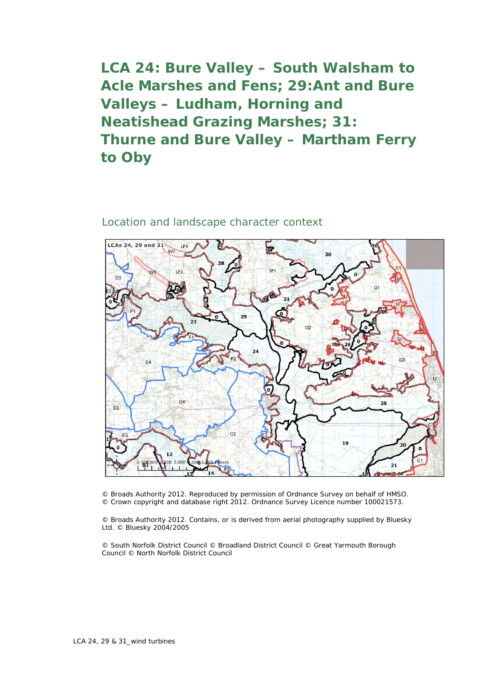**LCA 24: Bure Valley – South Walsham to Acle Marshes and Fens; 29:Ant and Bure Valleys – Ludham, Horning and Neatishead Grazing Marshes; 31: Thurne and Bure Valley – Martham Ferry to Oby**

## Location and landscape character context



© Broads Authority 2012. Reproduced by permission of Ordnance Survey on behalf of HMSO. © Crown copyright and database right 2012. Ordnance Survey Licence number 100021573.

© Broads Authority 2012. Contains, or is derived from aerial photography supplied by Bluesky Ltd. © Bluesky 2004/2005

© South Norfolk District Council © Broadland District Council © Great Yarmouth Borough Council © North Norfolk District Council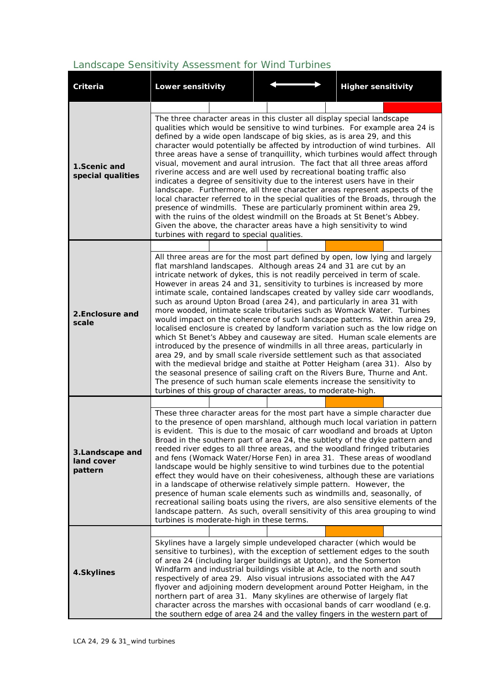## *Landscape Sensitivity Assessment for Wind Turbines*

| Criteria                                 | <b>Lower sensitivity</b>                                                                                                                                                                                                                                                                                                                                                                                                                                                                                                                                                                                                                                                                                                                                                                                                                                                                                                                                                                                                                                                                                                                                                                                                                                |  |                                           |  | <b>Higher sensitivity</b>                                                                                                                                                                                                                                                                                                                                                                                                                                                                                                                                                                                                                                                                                                                                                                                                                                                                                                                                      |
|------------------------------------------|---------------------------------------------------------------------------------------------------------------------------------------------------------------------------------------------------------------------------------------------------------------------------------------------------------------------------------------------------------------------------------------------------------------------------------------------------------------------------------------------------------------------------------------------------------------------------------------------------------------------------------------------------------------------------------------------------------------------------------------------------------------------------------------------------------------------------------------------------------------------------------------------------------------------------------------------------------------------------------------------------------------------------------------------------------------------------------------------------------------------------------------------------------------------------------------------------------------------------------------------------------|--|-------------------------------------------|--|----------------------------------------------------------------------------------------------------------------------------------------------------------------------------------------------------------------------------------------------------------------------------------------------------------------------------------------------------------------------------------------------------------------------------------------------------------------------------------------------------------------------------------------------------------------------------------------------------------------------------------------------------------------------------------------------------------------------------------------------------------------------------------------------------------------------------------------------------------------------------------------------------------------------------------------------------------------|
|                                          |                                                                                                                                                                                                                                                                                                                                                                                                                                                                                                                                                                                                                                                                                                                                                                                                                                                                                                                                                                                                                                                                                                                                                                                                                                                         |  |                                           |  |                                                                                                                                                                                                                                                                                                                                                                                                                                                                                                                                                                                                                                                                                                                                                                                                                                                                                                                                                                |
| 1.Scenic and<br>special qualities        | The three character areas in this cluster all display special landscape<br>qualities which would be sensitive to wind turbines. For example area 24 is<br>defined by a wide open landscape of big skies, as is area 29, and this<br>character would potentially be affected by introduction of wind turbines. All<br>three areas have a sense of tranquillity, which turbines would affect through<br>visual, movement and aural intrusion. The fact that all three areas afford<br>riverine access and are well used by recreational boating traffic also<br>indicates a degree of sensitivity due to the interest users have in their<br>landscape. Furthermore, all three character areas represent aspects of the<br>local character referred to in the special qualities of the Broads, through the<br>presence of windmills. These are particularly prominent within area 29,<br>with the ruins of the oldest windmill on the Broads at St Benet's Abbey.<br>Given the above, the character areas have a high sensitivity to wind<br>turbines with regard to special qualities.                                                                                                                                                                   |  |                                           |  |                                                                                                                                                                                                                                                                                                                                                                                                                                                                                                                                                                                                                                                                                                                                                                                                                                                                                                                                                                |
|                                          |                                                                                                                                                                                                                                                                                                                                                                                                                                                                                                                                                                                                                                                                                                                                                                                                                                                                                                                                                                                                                                                                                                                                                                                                                                                         |  |                                           |  |                                                                                                                                                                                                                                                                                                                                                                                                                                                                                                                                                                                                                                                                                                                                                                                                                                                                                                                                                                |
| 2. Enclosure and<br>scale                | All three areas are for the most part defined by open, low lying and largely<br>flat marshland landscapes. Although areas 24 and 31 are cut by an<br>intricate network of dykes, this is not readily perceived in term of scale.<br>However in areas 24 and 31, sensitivity to turbines is increased by more<br>intimate scale, contained landscapes created by valley side carr woodlands,<br>such as around Upton Broad (area 24), and particularly in area 31 with<br>more wooded, intimate scale tributaries such as Womack Water. Turbines<br>would impact on the coherence of such landscape patterns. Within area 29,<br>localised enclosure is created by landform variation such as the low ridge on<br>which St Benet's Abbey and causeway are sited. Human scale elements are<br>introduced by the presence of windmills in all three areas, particularly in<br>area 29, and by small scale riverside settlement such as that associated<br>with the medieval bridge and staithe at Potter Heigham (area 31). Also by<br>the seasonal presence of sailing craft on the Rivers Bure, Thurne and Ant.<br>The presence of such human scale elements increase the sensitivity to<br>turbines of this group of character areas, to moderate-high. |  |                                           |  |                                                                                                                                                                                                                                                                                                                                                                                                                                                                                                                                                                                                                                                                                                                                                                                                                                                                                                                                                                |
|                                          |                                                                                                                                                                                                                                                                                                                                                                                                                                                                                                                                                                                                                                                                                                                                                                                                                                                                                                                                                                                                                                                                                                                                                                                                                                                         |  |                                           |  |                                                                                                                                                                                                                                                                                                                                                                                                                                                                                                                                                                                                                                                                                                                                                                                                                                                                                                                                                                |
| 3.Landscape and<br>land cover<br>pattern |                                                                                                                                                                                                                                                                                                                                                                                                                                                                                                                                                                                                                                                                                                                                                                                                                                                                                                                                                                                                                                                                                                                                                                                                                                                         |  | turbines is moderate-high in these terms. |  | These three character areas for the most part have a simple character due<br>to the presence of open marshland, although much local variation in pattern<br>is evident. This is due to the mosaic of carr woodland and broads at Upton<br>Broad in the southern part of area 24, the subtlety of the dyke pattern and<br>reeded river edges to all three areas, and the woodland fringed tributaries<br>and fens (Womack Water/Horse Fen) in area 31. These areas of woodland<br>landscape would be highly sensitive to wind turbines due to the potential<br>effect they would have on their cohesiveness, although these are variations<br>in a landscape of otherwise relatively simple pattern. However, the<br>presence of human scale elements such as windmills and, seasonally, of<br>recreational sailing boats using the rivers, are also sensitive elements of the<br>landscape pattern. As such, overall sensitivity of this area grouping to wind |
|                                          |                                                                                                                                                                                                                                                                                                                                                                                                                                                                                                                                                                                                                                                                                                                                                                                                                                                                                                                                                                                                                                                                                                                                                                                                                                                         |  |                                           |  |                                                                                                                                                                                                                                                                                                                                                                                                                                                                                                                                                                                                                                                                                                                                                                                                                                                                                                                                                                |
| 4.Skylines                               |                                                                                                                                                                                                                                                                                                                                                                                                                                                                                                                                                                                                                                                                                                                                                                                                                                                                                                                                                                                                                                                                                                                                                                                                                                                         |  |                                           |  | Skylines have a largely simple undeveloped character (which would be<br>sensitive to turbines), with the exception of settlement edges to the south<br>of area 24 (including larger buildings at Upton), and the Somerton<br>Windfarm and industrial buildings visible at Acle, to the north and south<br>respectively of area 29. Also visual intrusions associated with the A47<br>flyover and adjoining modern development around Potter Heigham, in the<br>northern part of area 31. Many skylines are otherwise of largely flat<br>character across the marshes with occasional bands of carr woodland (e.g.<br>the southern edge of area 24 and the valley fingers in the western part of                                                                                                                                                                                                                                                                |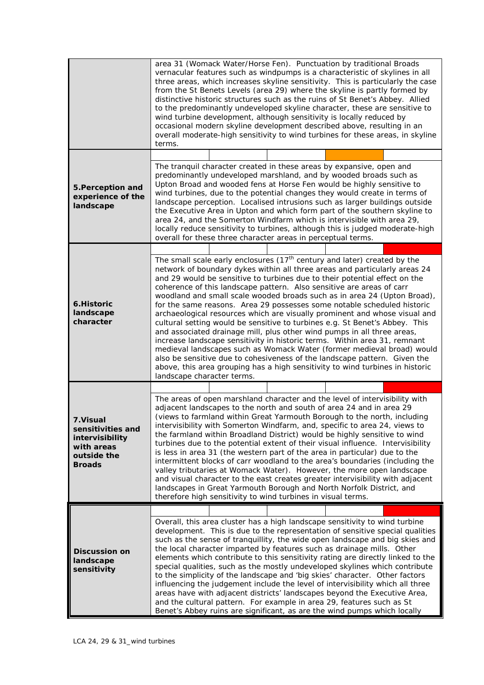|                                                                                                 | area 31 (Womack Water/Horse Fen). Punctuation by traditional Broads<br>vernacular features such as windpumps is a characteristic of skylines in all<br>three areas, which increases skyline sensitivity. This is particularly the case<br>from the St Benets Levels (area 29) where the skyline is partly formed by<br>distinctive historic structures such as the ruins of St Benet's Abbey. Allied<br>to the predominantly undeveloped skyline character, these are sensitive to<br>wind turbine development, although sensitivity is locally reduced by<br>occasional modern skyline development described above, resulting in an<br>overall moderate-high sensitivity to wind turbines for these areas, in skyline<br>terms.                                                                                                                                                                                                                                                                                                                                  |  |  |  |  |
|-------------------------------------------------------------------------------------------------|-------------------------------------------------------------------------------------------------------------------------------------------------------------------------------------------------------------------------------------------------------------------------------------------------------------------------------------------------------------------------------------------------------------------------------------------------------------------------------------------------------------------------------------------------------------------------------------------------------------------------------------------------------------------------------------------------------------------------------------------------------------------------------------------------------------------------------------------------------------------------------------------------------------------------------------------------------------------------------------------------------------------------------------------------------------------|--|--|--|--|
|                                                                                                 | The tranquil character created in these areas by expansive, open and                                                                                                                                                                                                                                                                                                                                                                                                                                                                                                                                                                                                                                                                                                                                                                                                                                                                                                                                                                                              |  |  |  |  |
| 5. Perception and<br>experience of the<br>landscape                                             | predominantly undeveloped marshland, and by wooded broads such as<br>Upton Broad and wooded fens at Horse Fen would be highly sensitive to<br>wind turbines, due to the potential changes they would create in terms of<br>landscape perception. Localised intrusions such as larger buildings outside<br>the Executive Area in Upton and which form part of the southern skyline to<br>area 24, and the Somerton Windfarm which is intervisible with area 29,<br>locally reduce sensitivity to turbines, although this is judged moderate-high<br>overall for these three character areas in perceptual terms.                                                                                                                                                                                                                                                                                                                                                                                                                                                   |  |  |  |  |
|                                                                                                 |                                                                                                                                                                                                                                                                                                                                                                                                                                                                                                                                                                                                                                                                                                                                                                                                                                                                                                                                                                                                                                                                   |  |  |  |  |
| 6.Historic<br>landscape<br>character                                                            | The small scale early enclosures $(17th$ century and later) created by the<br>network of boundary dykes within all three areas and particularly areas 24<br>and 29 would be sensitive to turbines due to their potential effect on the<br>coherence of this landscape pattern. Also sensitive are areas of carr<br>woodland and small scale wooded broads such as in area 24 (Upton Broad),<br>for the same reasons. Area 29 possesses some notable scheduled historic<br>archaeological resources which are visually prominent and whose visual and<br>cultural setting would be sensitive to turbines e.g. St Benet's Abbey. This<br>and associated drainage mill, plus other wind pumps in all three areas,<br>increase landscape sensitivity in historic terms. Within area 31, remnant<br>medieval landscapes such as Womack Water (former medieval broad) would<br>also be sensitive due to cohesiveness of the landscape pattern. Given the<br>above, this area grouping has a high sensitivity to wind turbines in historic<br>landscape character terms. |  |  |  |  |
|                                                                                                 |                                                                                                                                                                                                                                                                                                                                                                                                                                                                                                                                                                                                                                                                                                                                                                                                                                                                                                                                                                                                                                                                   |  |  |  |  |
| 7. Visual<br>sensitivities and<br>intervisibility<br>with areas<br>outside the<br><b>Broads</b> | The areas of open marshland character and the level of intervisibility with<br>adjacent landscapes to the north and south of area 24 and in area 29<br>(views to farmland within Great Yarmouth Borough to the north, including<br>intervisibility with Somerton Windfarm, and, specific to area 24, views to<br>the farmland within Broadland District) would be highly sensitive to wind<br>turbines due to the potential extent of their visual influence. Intervisibility<br>is less in area 31 (the western part of the area in particular) due to the<br>intermittent blocks of carr woodland to the area's boundaries (including the<br>valley tributaries at Womack Water). However, the more open landscape<br>and visual character to the east creates greater intervisibility with adjacent<br>landscapes in Great Yarmouth Borough and North Norfolk District, and<br>therefore high sensitivity to wind turbines in visual terms.                                                                                                                    |  |  |  |  |
|                                                                                                 |                                                                                                                                                                                                                                                                                                                                                                                                                                                                                                                                                                                                                                                                                                                                                                                                                                                                                                                                                                                                                                                                   |  |  |  |  |
| <b>Discussion on</b><br>landscape<br>sensitivity                                                | Overall, this area cluster has a high landscape sensitivity to wind turbine<br>development. This is due to the representation of sensitive special qualities<br>such as the sense of tranquillity, the wide open landscape and big skies and<br>the local character imparted by features such as drainage mills. Other<br>elements which contribute to this sensitivity rating are directly linked to the<br>special qualities, such as the mostly undeveloped skylines which contribute<br>to the simplicity of the landscape and 'big skies' character. Other factors<br>influencing the judgement include the level of intervisibility which all three<br>areas have with adjacent districts' landscapes beyond the Executive Area,<br>and the cultural pattern. For example in area 29, features such as St<br>Benet's Abbey ruins are significant, as are the wind pumps which locally                                                                                                                                                                       |  |  |  |  |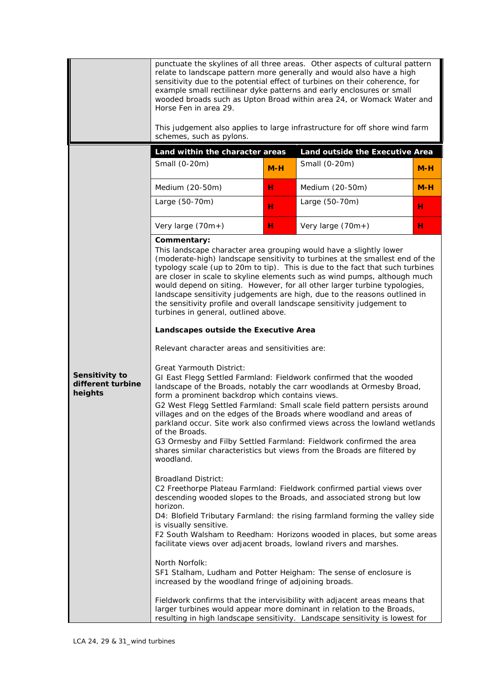|                                                | punctuate the skylines of all three areas. Other aspects of cultural pattern<br>relate to landscape pattern more generally and would also have a high<br>sensitivity due to the potential effect of turbines on their coherence, for<br>example small rectilinear dyke patterns and early enclosures or small<br>wooded broads such as Upton Broad within area 24, or Womack Water and<br>Horse Fen in area 29.<br>This judgement also applies to large infrastructure for off shore wind farm<br>schemes, such as pylons.                                                                                                                             |       |                                                                                                                                                                                                                                     |       |  |
|------------------------------------------------|--------------------------------------------------------------------------------------------------------------------------------------------------------------------------------------------------------------------------------------------------------------------------------------------------------------------------------------------------------------------------------------------------------------------------------------------------------------------------------------------------------------------------------------------------------------------------------------------------------------------------------------------------------|-------|-------------------------------------------------------------------------------------------------------------------------------------------------------------------------------------------------------------------------------------|-------|--|
|                                                | Land within the character areas                                                                                                                                                                                                                                                                                                                                                                                                                                                                                                                                                                                                                        |       | Land outside the Executive Area                                                                                                                                                                                                     |       |  |
|                                                | Small (0-20m)                                                                                                                                                                                                                                                                                                                                                                                                                                                                                                                                                                                                                                          | $M-H$ | Small (0-20m)                                                                                                                                                                                                                       | $M-H$ |  |
|                                                | Medium (20-50m)                                                                                                                                                                                                                                                                                                                                                                                                                                                                                                                                                                                                                                        | н     | Medium (20-50m)                                                                                                                                                                                                                     | $M-H$ |  |
|                                                | Large (50-70m)                                                                                                                                                                                                                                                                                                                                                                                                                                                                                                                                                                                                                                         | н     | Large (50-70m)                                                                                                                                                                                                                      | н     |  |
|                                                | Very large (70m+)                                                                                                                                                                                                                                                                                                                                                                                                                                                                                                                                                                                                                                      | н     | Very large (70m+)                                                                                                                                                                                                                   | н     |  |
|                                                | Commentary:<br>This landscape character area grouping would have a slightly lower<br>(moderate-high) landscape sensitivity to turbines at the smallest end of the<br>typology scale (up to 20m to tip). This is due to the fact that such turbines<br>are closer in scale to skyline elements such as wind pumps, although much<br>would depend on siting. However, for all other larger turbine typologies,<br>landscape sensitivity judgements are high, due to the reasons outlined in<br>the sensitivity profile and overall landscape sensitivity judgement to<br>turbines in general, outlined above.                                            |       |                                                                                                                                                                                                                                     |       |  |
|                                                | Landscapes outside the Executive Area                                                                                                                                                                                                                                                                                                                                                                                                                                                                                                                                                                                                                  |       |                                                                                                                                                                                                                                     |       |  |
|                                                | Relevant character areas and sensitivities are:                                                                                                                                                                                                                                                                                                                                                                                                                                                                                                                                                                                                        |       |                                                                                                                                                                                                                                     |       |  |
| Sensitivity to<br>different turbine<br>heights | <b>Great Yarmouth District:</b><br>GI East Flegg Settled Farmland: Fieldwork confirmed that the wooded<br>landscape of the Broads, notably the carr woodlands at Ormesby Broad,<br>form a prominent backdrop which contains views.<br>G2 West Flegg Settled Farmland: Small scale field pattern persists around<br>villages and on the edges of the Broads where woodland and areas of<br>parkland occur. Site work also confirmed views across the lowland wetlands<br>of the Broads.<br>G3 Ormesby and Filby Settled Farmland: Fieldwork confirmed the area<br>shares similar characteristics but views from the Broads are filtered by<br>woodland. |       |                                                                                                                                                                                                                                     |       |  |
|                                                | <b>Broadland District:</b><br>C2 Freethorpe Plateau Farmland: Fieldwork confirmed partial views over<br>descending wooded slopes to the Broads, and associated strong but low<br>horizon.<br>D4: Blofield Tributary Farmland: the rising farmland forming the valley side<br>is visually sensitive.<br>F2 South Walsham to Reedham: Horizons wooded in places, but some areas<br>facilitate views over adjacent broads, lowland rivers and marshes.                                                                                                                                                                                                    |       |                                                                                                                                                                                                                                     |       |  |
|                                                | North Norfolk:<br>SF1 Stalham, Ludham and Potter Heigham: The sense of enclosure is<br>increased by the woodland fringe of adjoining broads.                                                                                                                                                                                                                                                                                                                                                                                                                                                                                                           |       |                                                                                                                                                                                                                                     |       |  |
|                                                |                                                                                                                                                                                                                                                                                                                                                                                                                                                                                                                                                                                                                                                        |       | Fieldwork confirms that the intervisibility with adjacent areas means that<br>larger turbines would appear more dominant in relation to the Broads,<br>resulting in high landscape sensitivity. Landscape sensitivity is lowest for |       |  |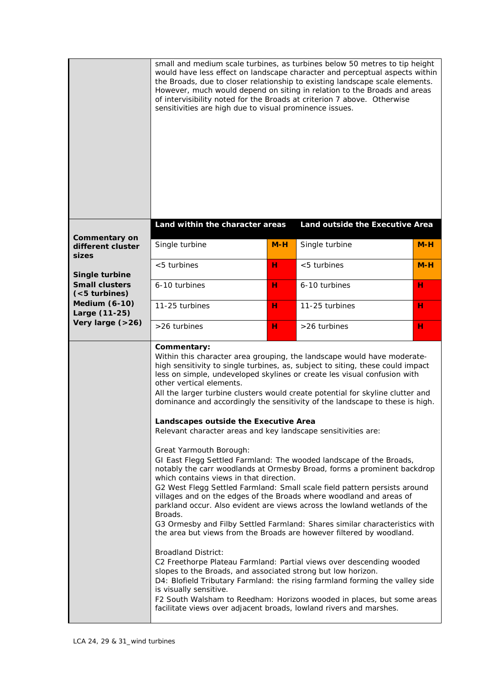|                                                    | sensitivities are high due to visual prominence issues.                                                                                                                                                                                                                                                                                                                                                                          |       | small and medium scale turbines, as turbines below 50 metres to tip height<br>would have less effect on landscape character and perceptual aspects within<br>the Broads, due to closer relationship to existing landscape scale elements.<br>However, much would depend on siting in relation to the Broads and areas<br>of intervisibility noted for the Broads at criterion 7 above. Otherwise                                                                                                                                                                                                                                                                                                                                                                                                                                                                                                                                                                                                                                                                                                                                                                                   |       |
|----------------------------------------------------|----------------------------------------------------------------------------------------------------------------------------------------------------------------------------------------------------------------------------------------------------------------------------------------------------------------------------------------------------------------------------------------------------------------------------------|-------|------------------------------------------------------------------------------------------------------------------------------------------------------------------------------------------------------------------------------------------------------------------------------------------------------------------------------------------------------------------------------------------------------------------------------------------------------------------------------------------------------------------------------------------------------------------------------------------------------------------------------------------------------------------------------------------------------------------------------------------------------------------------------------------------------------------------------------------------------------------------------------------------------------------------------------------------------------------------------------------------------------------------------------------------------------------------------------------------------------------------------------------------------------------------------------|-------|
|                                                    | Land within the character areas                                                                                                                                                                                                                                                                                                                                                                                                  |       | Land outside the Executive Area                                                                                                                                                                                                                                                                                                                                                                                                                                                                                                                                                                                                                                                                                                                                                                                                                                                                                                                                                                                                                                                                                                                                                    |       |
| <b>Commentary on</b><br>different cluster<br>sizes | Single turbine                                                                                                                                                                                                                                                                                                                                                                                                                   | $M-H$ | Single turbine                                                                                                                                                                                                                                                                                                                                                                                                                                                                                                                                                                                                                                                                                                                                                                                                                                                                                                                                                                                                                                                                                                                                                                     | $M-H$ |
| Single turbine                                     | <5 turbines                                                                                                                                                                                                                                                                                                                                                                                                                      | н     | <5 turbines                                                                                                                                                                                                                                                                                                                                                                                                                                                                                                                                                                                                                                                                                                                                                                                                                                                                                                                                                                                                                                                                                                                                                                        | $M-H$ |
| <b>Small clusters</b><br>( <sub>5</sub> turbins)   | 6-10 turbines                                                                                                                                                                                                                                                                                                                                                                                                                    | н     | 6-10 turbines                                                                                                                                                                                                                                                                                                                                                                                                                                                                                                                                                                                                                                                                                                                                                                                                                                                                                                                                                                                                                                                                                                                                                                      | н     |
| <b>Medium (6-10)</b><br>Large (11-25)              | 11-25 turbines                                                                                                                                                                                                                                                                                                                                                                                                                   | н     | 11-25 turbines                                                                                                                                                                                                                                                                                                                                                                                                                                                                                                                                                                                                                                                                                                                                                                                                                                                                                                                                                                                                                                                                                                                                                                     | н     |
| Very large (>26)                                   | >26 turbines                                                                                                                                                                                                                                                                                                                                                                                                                     | н     | >26 turbines                                                                                                                                                                                                                                                                                                                                                                                                                                                                                                                                                                                                                                                                                                                                                                                                                                                                                                                                                                                                                                                                                                                                                                       | н     |
|                                                    | Commentary:<br>other vertical elements.<br>Landscapes outside the Executive Area<br>Relevant character areas and key landscape sensitivities are:<br>Great Yarmouth Borough:<br>which contains views in that direction.<br>Broads.<br><b>Broadland District:</b><br>slopes to the Broads, and associated strong but low horizon.<br>is visually sensitive.<br>facilitate views over adjacent broads, lowland rivers and marshes. |       | Within this character area grouping, the landscape would have moderate-<br>high sensitivity to single turbines, as, subject to siting, these could impact<br>less on simple, undeveloped skylines or create les visual confusion with<br>All the larger turbine clusters would create potential for skyline clutter and<br>dominance and accordingly the sensitivity of the landscape to these is high.<br>GI East Flegg Settled Farmland: The wooded landscape of the Broads,<br>notably the carr woodlands at Ormesby Broad, forms a prominent backdrop<br>G2 West Flegg Settled Farmland: Small scale field pattern persists around<br>villages and on the edges of the Broads where woodland and areas of<br>parkland occur. Also evident are views across the lowland wetlands of the<br>G3 Ormesby and Filby Settled Farmland: Shares similar characteristics with<br>the area but views from the Broads are however filtered by woodland.<br>C2 Freethorpe Plateau Farmland: Partial views over descending wooded<br>D4: Blofield Tributary Farmland: the rising farmland forming the valley side<br>F2 South Walsham to Reedham: Horizons wooded in places, but some areas |       |